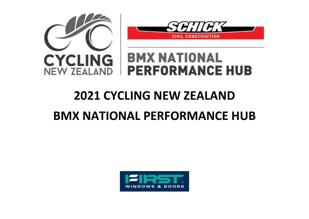



## **BMX NATIONAL PERFORMANCE HUB**

## **2021 CYCLING NEW ZEALAND**

## **BMX NATIONAL PERFORMANCE HUB**

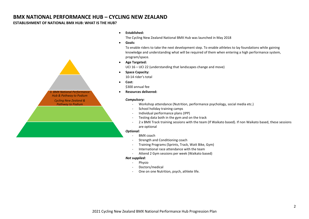#### **BMX NATIONAL PERFORMANCE HUB – CYCLING NEW ZEALAND**

#### **ESTABLISHMENT OF NATIONAL BMX HUB: WHAT IS THE HUB?**



#### **Established:**

The Cycling New Zealand National BMX Hub was launched in May 2018

**Goals:**

To enable riders to take the next development step. To enable athletes to lay foundations while gaining knowledge and understanding what will be required of them when entering a high performance system, program/space.

**Age Targeted:**

UCI 16 – UCI 22 (understanding that landscapes change and move)

- **•** Space Capacity: 10-14 rider's total
- **Cost:**

\$300 annual fee

**Resources delivered:**

#### *Compulsory:*

- Workshop attendance (Nutrition, performance psychology, social media etc.)
- School holiday training camps
- Individual performance plans (IPP)
- Testing data both in the gym and on the track
- 2 x BMX Track training sessions with the team (If Waikato based). If non Waikato based, these sessions are optional

#### *Optional:*

- BMX coach
- Strength and Conditioning coach
- Training Programs (Sprints, Track, Watt Bike, Gym)
- International race attendance with the team
- Attend 2 Gym sessions per week (Waikato based)

#### *Not supplied:*

- Physio
- Doctors/medical
- One on one Nutrition, psych, athlete life.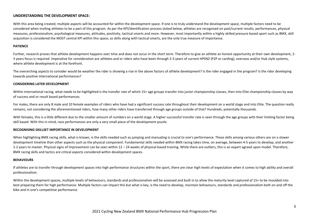#### **UNDERSTANDING THE DEVELOPMENT SPACE:**

With this area being created, multiple aspects will be accounted for within the development space. If one is to truly understand the development space, multiple factors need to be considered when inviting athletes to be a part of this program. As per the KPI/Identification process stated below, athletes are recognised on past/current results, performances, physical measures, professionalism, psychological measures, attitudes, positivity, tactical smarts and more. However, most importantly within a highly skilled pressure based sport such as BMX, skill acquisition is considered the MOST central KPI within this space; as skills along with tactical smarts, are the only true measure of importance.

#### **PATIENCE**

Further, research proves that athlete development happens over time and does not occur in the short term. Therefore to give an athlete an honest opportunity at their own development, 2-3 years focus is required. Imperative for consideration are athletes and or riders who have been through 2-3 years of current HPSNZ (P2P or carding), overseas and/or Hub style systems, where athlete development is at the forefront.

The overarching aspects to consider would be weather the rider is showing a rise in the above factors of athlete development? Is the rider engaged in the program? Is the rider developing towards positive international performances?

#### **CONSIDERING LATER DEVELOPMENT**

Within international racing, what needs to be highlighted is the transfer rate of which 15+ age groups transfer into junior championship classes, then into Elite championship classes by way of success and or result based performances.

For males, there are only 8 male and 10 female examples of riders who have had a significant success rate throughout their development on a world stage and into Elite. The question really remains, not considering the aforementioned riders, how many other riders have transferred through age groups outside of that? Hundreds, potentially thousands.

With females, this is a little different due to the smaller amount of numbers on a world stage. A higher successful transfer rate is seen through the age groups with their limiting factor being skill based. With this in mind, race performances are only a very small piece of the development puzzle.

#### **RECOGNISING SKILLSET IMPORTANCE IN DEVELOPMENT**

When highlighting BMX racing skills, what is known, is the skills needed such as jumping and manualing is crucial to one's performance. These skills among various others are on a slower development timeline than other aspects such as the physical component. Fundamental skills needed within BMX racing takes time, on average, between 4-5 years to develop, and another 1-2 years to master. Physical signs of improvement can be seen within 12 – 24 weeks of physical based training. While there are outliers, this is an expert agreed upon model. Therefore, BMX racing skills and tactics are critical aspects considered within development spaces.

#### **BEHAVIOURS**

If athletes are to transfer through development spaces into high performance structures within the sport, there are clear high levels of expectation when it comes to high ability and overall professionalism.

Within the development spaces, multiple levels of behaviours, standards and professionalism will be assessed and built in to allow the maturity level captured of 15+ to be moulded into best preparing them for high performance. Multiple factors can impact this but what is key, is the need to develop, maintain behaviours, standards and professionalism both on and off the bike and in one's competitive performance.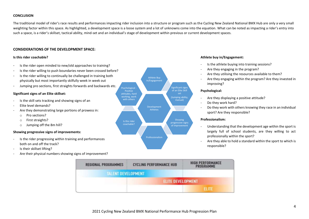#### **CONCLUSION**

The traditional model of rider's race results and performances impacting rider inclusion into a structure or program such as the Cycling New Zealand National BMX Hub are only a very small weighting factor within this space. As highlighted, a development space is a loose system and a lot of unknowns come into the equation. What can be noted as impacting a rider's entry into such a space, is a rider's skillset, tactical ability, mind-set and an individual's stage of development within previous or current development spaces.

#### **CONSIDERATIONS OF THE DEVELOPMENT SPACE:**

#### **Is this rider coachable?**

- Is the rider open minded to new/old approaches to training?
- Is the rider willing to push boundaries never been crossed before?
- Is the rider willing to continually be challenged in training both physically but most importantly skilfully week in week out
- Jumping pro sections, first straights forwards and backwards etc.

#### **Significant signs of an Elite skillset:**

- Is the skill sets tracking and showing signs of an
- Elite level demands?
- Are they demonstrating large portions of prowess in:
	- o Pro sections?
	- o First straights?
	- o Jumping off the 8m hill?

#### **Showing progressive signs of improvements:**

- Is the rider progressing within training and performances both on and off the track?
- Is their skillset lifting?
- Are their physical numbers showing signs of improvement?



#### **Athlete buy in/Engagement:**

- Is the athlete buying into training sessions?
- Are they engaging in the program?
- Are they utilising the resources available to them?
- Are they engaging within the program? Are they invested in improving?

#### **Psychological:**

- Are they displaying a positive attitude?
- Do they work hard?
- Do they work with others knowing they race in an individual sport? Are they responsible?

#### **Professionalism:**

- Understanding that the development age within the sport is largely full of school students, are they willing to act professionally within the sport?
- Are they able to hold a standard within the sport to which is responsible?

| <b>REGIONAL PROGRAMMES</b> | <b>CYCLING PERFORMANCE HUB</b> | <b>HIGH PERFORMANCE</b><br>PROGRAMME |
|----------------------------|--------------------------------|--------------------------------------|
| <b>TALENT DEVELOPMENT</b>  |                                |                                      |
|                            | <b>ELITE DEVELOPMENT</b>       |                                      |
|                            |                                | <b>ELITE</b>                         |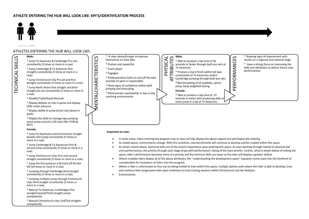

studies in the main Street of

#### ATHLETES ENTERING THE HUB WILL LOOK LIKE:

#### **Male:**  MENTALCHARICTERISTICS \* A clear desire/hunger to improve **Male:** ATTRIBUTES *AENTALCHARICTERISTICS* PHYSICAL themselves on their bike \* Jump Te Awamutu & Cambridge Pro sets consistently (5 times or more in a row) \* Postive and respectful Te Awamutu \* Jump Cambridge & Te Awamutu first \* Team player straights consistently (5 times or more in a \* Engaged \* Professionalism both on and off the bike \* Jump Christchurch City Pro set and first (outside of sport is responsible) Straight consistently (5 times or more in a row) \* Show signs of confidence within both \* Jump North Avons first straight and third jumping and manualing straight pro set consistently (5 times or more in **Female:** \* Deomnstrate coachabiility in day to day coaching environments \* Display the skills to manage laps jumping \* Jump Te Awamutus second amatuer straight **Important to note:**  \* Jump Christchurch Citys first and second consideration for invitations of riders into this program. \* Jump the first jump on a SX track off the 8m

- Where a rider is unfortunate to miss out on being invited to train within this space, multiple options exist where the rider is able to develop, train and continue their progression with open invitations to hub training sessions within Christchurch and the Waikato.
- 

 $\sim$ TECHNICAL SKILLS SKILLS TECHNICAL

row)

a row)

\* Double/Triple/Quad Manuals

\* Display abilities to ride in packs and display skills under pressure

\* Display ability to jump all pro sets above in packs

some jumps around a SX track (NH, PUNI & ROT)

#### **Female:**

double (3rd jump) consistantly (5 times or more in a row)

\* Jump Cambridge & Te Awamutus first & second jump consistantly (5 times or more in a row)

straight consistently (5 times or more in a row)

hill (10 times or more in a row)

\* Jumping through Cambridge third straight consistently (5 times or more in a row)

\* Jumping multiple jumps through Chritchurch citys third straight consistently (5 times or more in a row)

\* Manual Te Awamutu, Cambridges first straight/second/Third straight jumps competently

\* Manual Christchurch citys 2nd/3rd straigtht competently



- In some cases, riders entering the program may or may not fully display the above aspects but will display the majority
- As stated above, environments change. With this evolution, new benchmarks will continue to develop and be created within this space.
- As shown clearly above, technical skills are of the utmost importance upon entering this space. As seen working through mental to physical and onto performances, the priority through each stage drops with performance's being of the least priority. Further, what is shown below of exiting the space, rider's performance becomes more of a priority and the technical skills are lower as the rider will display a greater skillset.
- Where multiple riders display all of the above attributes, the ''understanding the development space'' equation comes back into the forefront of
- 
- **Environments**